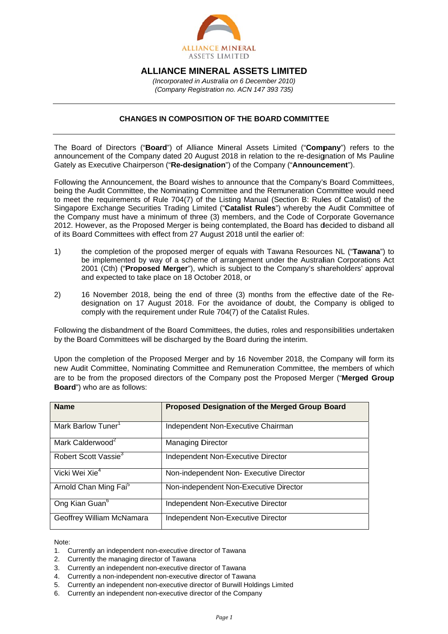

## **ALLIANCE MINERAL ASSETS LIMITED**

(Incorporated in Australia on 6 December 2010) (Company Registration no. ACN 147 393 735)

## **CHANGES IN COMPOSITION OF THE BOARD COMMITTEE**

The Board of Directors ("Board") of Alliance Mineral Assets Limited ("Company") refers to the announcement of the Company dated 20 August 2018 in relation to the re-designation of Ms Pauline Gately as Executive Chairperson ("Re-designation") of the Company ("Announcement").

Following the Announcement, the Board wishes to announce that the Company's Board Committees. being the Audit Committee, the Nominating Committee and the Remuneration Committee would need to meet the requirements of Rule 704(7) of the Listing Manual (Section B: Rules of Catalist) of the Singapore Exchange Securities Trading Limited ("Catalist Rules") whereby the Audit Committee of the Company must have a minimum of three (3) members, and the Code of Corporate Governance 2012. However, as the Proposed Merger is being contemplated, the Board has decided to disband all of its Board Committees with effect from 27 August 2018 until the earlier of:

- $1)$ the completion of the proposed merger of equals with Tawana Resources NL ("Tawana") to be implemented by way of a scheme of arrangement under the Australian Corporations Act 2001 (Cth) ("Proposed Merger"), which is subject to the Company's shareholders' approval and expected to take place on 18 October 2018, or
- $2)$ 16 November 2018, being the end of three (3) months from the effective date of the Redesignation on 17 August 2018. For the avoidance of doubt, the Company is obliged to comply with the requirement under Rule 704(7) of the Catalist Rules.

Following the disbandment of the Board Committees, the duties, roles and responsibilities undertaken by the Board Committees will be discharged by the Board during the interim.

Upon the completion of the Proposed Merger and by 16 November 2018, the Company will form its new Audit Committee, Nominating Committee and Remuneration Committee, the members of which are to be from the proposed directors of the Company post the Proposed Merger ("Merged Group Board") who are as follows:

| <b>Name</b>                       | Proposed Designation of the Merged Group Board |
|-----------------------------------|------------------------------------------------|
| Mark Barlow Tuner <sup>1</sup>    | Independent Non-Executive Chairman             |
| Mark Calderwood <sup>2</sup>      | <b>Managing Director</b>                       |
| Robert Scott Vassie <sup>3</sup>  | Independent Non-Executive Director             |
| Vicki Wei Xie <sup>4</sup>        | Non-independent Non- Executive Director        |
| Arnold Chan Ming Fai <sup>5</sup> | Non-independent Non-Executive Director         |
| Ong Kian Guan <sup>6</sup>        | Independent Non-Executive Director             |
| Geoffrey William McNamara         | Independent Non-Executive Director             |

Note:

- 1. Currently an independent non-executive director of Tawana
- 2. Currently the managing director of Tawana
- 3. Currently an independent non-executive director of Tawana
- 4. Currently a non-independent non-executive director of Tawana
- 5. Currently an independent non-executive director of Burwill Holdings Limited
- 6. Currently an independent non-executive director of the Company